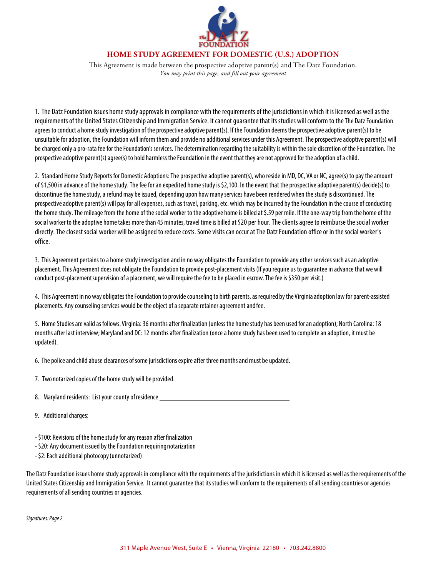

## **HOME STUDY AGREEMENT FOR DOMESTIC (U.S.) ADOPTION**

This Agreement is made between the prospective adoptive parent(s) and The Datz Foundation. *You may print this page, and fill out your agreement*

1. The Datz Foundation issues home study approvals in compliance with the requirements of the jurisdictions in which it is licensed as well as the requirements of the United States Citizenship and Immigration Service. It cannot quarantee that its studies will conform to the The Datz Foundation agrees to conduct a home study investigation of the prospective adoptive parent(s). If the Foundation deems the prospective adoptive parent(s) to be unsuitable for adoption, the Foundation will inform them and provide no additional services under this Agreement. The prospective adoptive parent(s) will be charged only a pro-rata fee for the Foundation's services. The determination regarding the suitability is within the sole discretion of the Foundation. The prospective adoptive parent(s) agree(s) to hold harmless the Foundation in the event that they are not approved for the adoption of a child.

2. Standard Home Study Reports for Domestic Adoptions: The prospective adoptive parent(s), who reside in MD, DC, VA or NC, agree(s) to pay the amount of \$1,500 in advance of the home study. The fee for an expedited home study is \$2,100. In the event that the prospective adoptive parent(s) decide(s) to discontinue the home study, a refund may be issued, depending upon how many services have been rendered when the study is discontinued. The prospective adoptive parent(s) will pay for all expenses, such as travel, parking, etc. which may be incurred by the Foundation in the course of conducting the home study. The mileage from the home of the social worker to the adoptive home is billed at \$.59 per mile. If the one-way trip from the home of the social worker to the adoptive home takes more than 45 minutes, travel time is billed at \$20 per hour. The clients agree to reimburse the social worker directly. The closest social worker will be assigned to reduce costs. Some visits can occur at The Datz Foundation office or in the social worker's office.

3. This Agreement pertains to a home study investigation and in no way obligates the Foundation to provide any other services such as an adoptive placement. This Agreement does not obligate the Foundation to provide post-placement visits (If you require us to guarantee in advance that we will conduct post-placementsupervision of a placement, we will require the fee to be placed in escrow. The fee is \$350 per visit.)

4. This Agreement in no way obligates the Foundation to provide counseling to birth parents, as required by the Virginia adoption law for parent-assisted placements. Any counseling services would be the object of a separate retainer agreement andfee.

5. Home Studies are valid as follows. Virginia: 36 months after finalization (unless the home study has been used for an adoption); North Carolina: 18 monthsafter last interview; Maryland and DC: 12 months after finalization (once a home study has been used to complete an adoption, it must be updated).

6. The police and child abuse clearances of some jurisdictions expire after three months and must be updated.

7. Two notarized copies of the home study will be provided.

- 8. Maryland residents: List your county ofresidence
- 9. Additional charges:
- -\$100: Revisions of the home study for any reason after finalization
- -\$20: Any document issued by the Foundation requiringnotarization
- -\$2: Each additional photocopy(unnotarized)

The Datz Foundation issues home study approvals in compliance with the requirements of the jurisdictions in which it is licensed as well as the requirements of the United States Citizenship and Immigration Service. It cannot guarantee that its studies will conform to the requirements of all sending countries or agencies requirements of all sending countries or agencies.

*Signatures: Page 2*